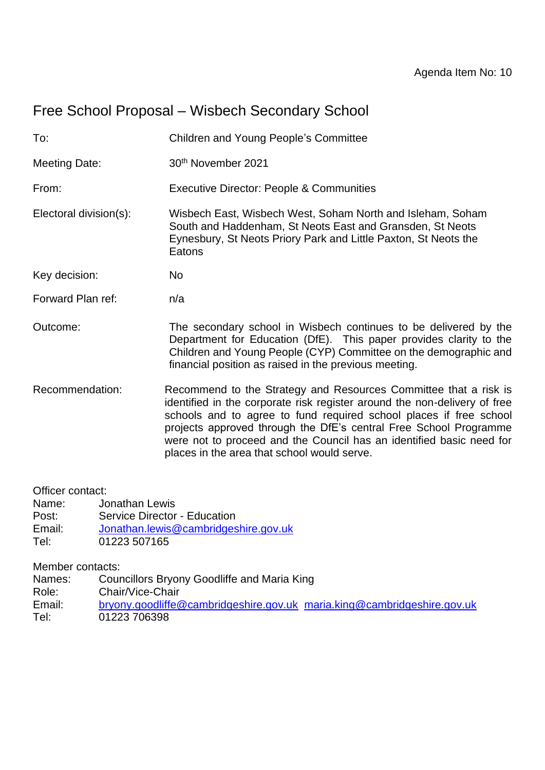## Free School Proposal – Wisbech Secondary School

To: Children and Young People's Committee

| <b>Meeting Date:</b> | 30 <sup>th</sup> November 2021 |
|----------------------|--------------------------------|

From: Executive Director: People & Communities

- Electoral division(s): Wisbech East, Wisbech West, Soham North and Isleham, Soham South and Haddenham, St Neots East and Gransden, St Neots Eynesbury, St Neots Priory Park and Little Paxton, St Neots the **Eatons**
- Key decision: No
- Forward Plan ref: n/a
- Outcome: The secondary school in Wisbech continues to be delivered by the Department for Education (DfE). This paper provides clarity to the Children and Young People (CYP) Committee on the demographic and financial position as raised in the previous meeting.
- Recommendation: Recommend to the Strategy and Resources Committee that a risk is identified in the corporate risk register around the non-delivery of free schools and to agree to fund required school places if free school projects approved through the DfE's central Free School Programme were not to proceed and the Council has an identified basic need for places in the area that school would serve.

Officer contact: Name: Jonathan Lewis Post: Service Director - Education

- Email: [Jonathan.lewis@cambridgeshire.gov.uk](mailto:Jonathan.lewis@cambridgeshire.gov.uk)
- Tel: 01223 507165

Member contacts:

Names: Councillors Bryony Goodliffe and Maria King

Role: Chair/Vice-Chair

Email: [bryony.goodliffe@cambridgeshire.gov.uk](mailto:bryony.goodliffe@cambridgeshire.gov.uk) [maria.king@cambridgeshire.gov.uk](mailto:maria.king@cambridgeshire.gov.uk) Tel: 01223 706398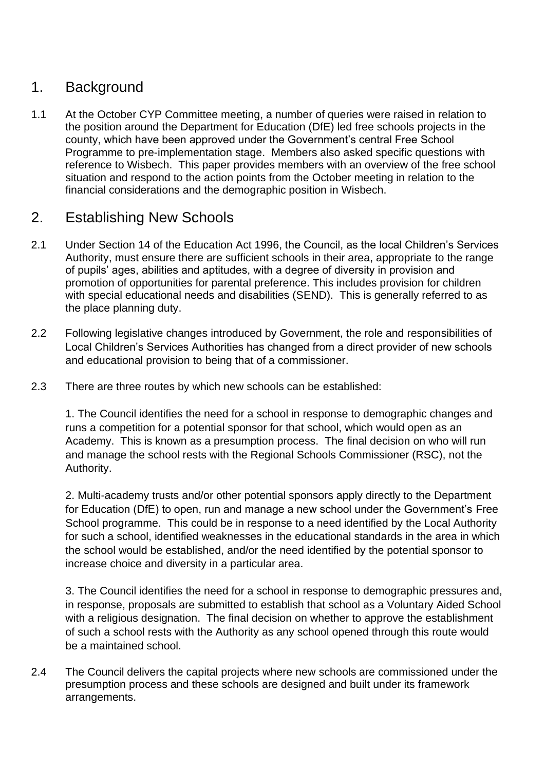# 1. Background

1.1 At the October CYP Committee meeting, a number of queries were raised in relation to the position around the Department for Education (DfE) led free schools projects in the county, which have been approved under the Government's central Free School Programme to pre-implementation stage. Members also asked specific questions with reference to Wisbech. This paper provides members with an overview of the free school situation and respond to the action points from the October meeting in relation to the financial considerations and the demographic position in Wisbech.

# 2. Establishing New Schools

- 2.1 Under Section 14 of the Education Act 1996, the Council, as the local Children's Services Authority, must ensure there are sufficient schools in their area, appropriate to the range of pupils' ages, abilities and aptitudes, with a degree of diversity in provision and promotion of opportunities for parental preference. This includes provision for children with special educational needs and disabilities (SEND). This is generally referred to as the place planning duty.
- 2.2 Following legislative changes introduced by Government, the role and responsibilities of Local Children's Services Authorities has changed from a direct provider of new schools and educational provision to being that of a commissioner.
- 2.3 There are three routes by which new schools can be established:

1. The Council identifies the need for a school in response to demographic changes and runs a competition for a potential sponsor for that school, which would open as an Academy. This is known as a presumption process. The final decision on who will run and manage the school rests with the Regional Schools Commissioner (RSC), not the Authority.

2. Multi-academy trusts and/or other potential sponsors apply directly to the Department for Education (DfE) to open, run and manage a new school under the Government's Free School programme. This could be in response to a need identified by the Local Authority for such a school, identified weaknesses in the educational standards in the area in which the school would be established, and/or the need identified by the potential sponsor to increase choice and diversity in a particular area.

3. The Council identifies the need for a school in response to demographic pressures and, in response, proposals are submitted to establish that school as a Voluntary Aided School with a religious designation. The final decision on whether to approve the establishment of such a school rests with the Authority as any school opened through this route would be a maintained school.

2.4 The Council delivers the capital projects where new schools are commissioned under the presumption process and these schools are designed and built under its framework arrangements.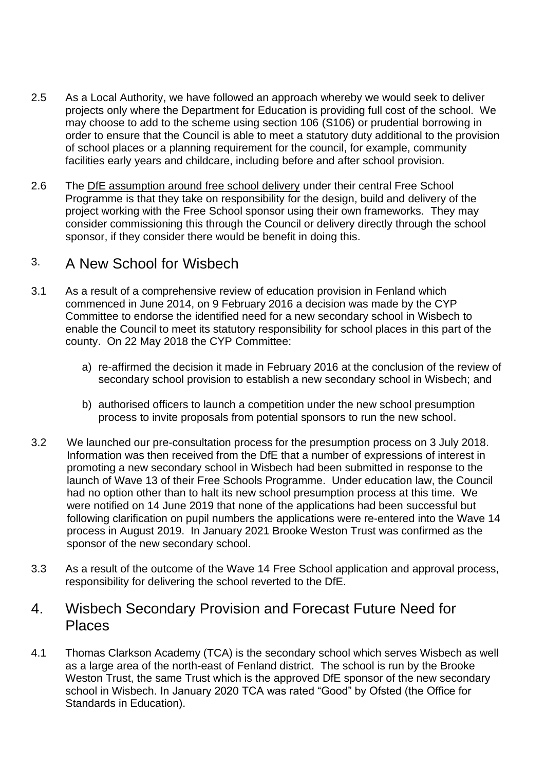- 2.5 As a Local Authority, we have followed an approach whereby we would seek to deliver projects only where the Department for Education is providing full cost of the school. We may choose to add to the scheme using section 106 (S106) or prudential borrowing in order to ensure that the Council is able to meet a statutory duty additional to the provision of school places or a planning requirement for the council, for example, community facilities early years and childcare, including before and after school provision.
- 2.6 The [DfE assumption around free school delivery](https://www.newschoolsnetwork.org/sites/default/files/2021-03/F%20St%20-%20Site%20Overview%20Guide%20-%20Spring%202021.pdf) under their central Free School Programme is that they take on responsibility for the design, build and delivery of the project working with the Free School sponsor using their own frameworks. They may consider commissioning this through the Council or delivery directly through the school sponsor, if they consider there would be benefit in doing this.

## 3. A New School for Wisbech

- 3.1 As a result of a comprehensive review of education provision in Fenland which commenced in June 2014, on 9 February 2016 a decision was made by the CYP Committee to endorse the identified need for a new secondary school in Wisbech to enable the Council to meet its statutory responsibility for school places in this part of the county. On 22 May 2018 the CYP Committee:
	- a) re-affirmed the decision it made in February 2016 at the conclusion of the review of secondary school provision to establish a new secondary school in Wisbech; and
	- b) authorised officers to launch a competition under the new school presumption process to invite proposals from potential sponsors to run the new school.
- 3.2 We launched our pre-consultation process for the presumption process on 3 July 2018. Information was then received from the DfE that a number of expressions of interest in promoting a new secondary school in Wisbech had been submitted in response to the launch of Wave 13 of their Free Schools Programme. Under education law, the Council had no option other than to halt its new school presumption process at this time. We were notified on 14 June 2019 that none of the applications had been successful but following clarification on pupil numbers the applications were re-entered into the Wave 14 process in August 2019. In January 2021 Brooke Weston Trust was confirmed as the sponsor of the new secondary school.
- 3.3 As a result of the outcome of the Wave 14 Free School application and approval process, responsibility for delivering the school reverted to the DfE.

## 4. Wisbech Secondary Provision and Forecast Future Need for Places

4.1 Thomas Clarkson Academy (TCA) is the secondary school which serves Wisbech as well as a large area of the north-east of Fenland district. The school is run by the Brooke Weston Trust, the same Trust which is the approved DfE sponsor of the new secondary school in Wisbech. In January 2020 TCA was rated "Good" by Ofsted (the Office for Standards in Education).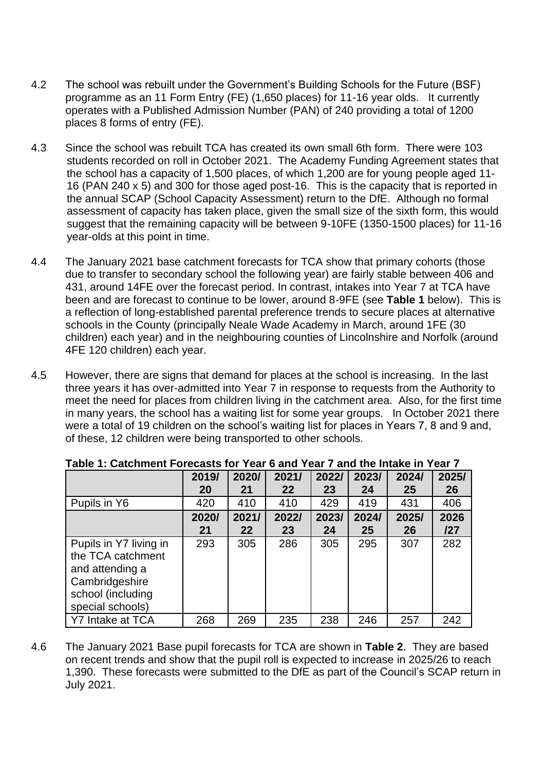- 4.2 The school was rebuilt under the Government's Building Schools for the Future (BSF) programme as an 11 Form Entry (FE) (1,650 places) for 11-16 year olds. It currently operates with a Published Admission Number (PAN) of 240 providing a total of 1200 places 8 forms of entry (FE).
- 4.3 Since the school was rebuilt TCA has created its own small 6th form. There were 103 students recorded on roll in October 2021. The Academy Funding Agreement states that the school has a capacity of 1,500 places, of which 1,200 are for young people aged 11- 16 (PAN 240 x 5) and 300 for those aged post-16. This is the capacity that is reported in the annual SCAP (School Capacity Assessment) return to the DfE. Although no formal assessment of capacity has taken place, given the small size of the sixth form, this would suggest that the remaining capacity will be between 9-10FE (1350-1500 places) for 11-16 year-olds at this point in time.
- 4.4 The January 2021 base catchment forecasts for TCA show that primary cohorts (those due to transfer to secondary school the following year) are fairly stable between 406 and 431, around 14FE over the forecast period. In contrast, intakes into Year 7 at TCA have been and are forecast to continue to be lower, around 8-9FE (see **Table 1** below). This is a reflection of long-established parental preference trends to secure places at alternative schools in the County (principally Neale Wade Academy in March, around 1FE (30 children) each year) and in the neighbouring counties of Lincolnshire and Norfolk (around 4FE 120 children) each year.
- 4.5 However, there are signs that demand for places at the school is increasing. In the last three years it has over-admitted into Year 7 in response to requests from the Authority to meet the need for places from children living in the catchment area. Also, for the first time in many years, the school has a waiting list for some year groups. In October 2021 there were a total of 19 children on the school's waiting list for places in Years 7, 8 and 9 and, of these, 12 children were being transported to other schools.

|                                                                                                                           | 2019/ | 2020/ | 2021/ | 2022/ | 2023/ | 2024/ | 2025/ |  |  |  |
|---------------------------------------------------------------------------------------------------------------------------|-------|-------|-------|-------|-------|-------|-------|--|--|--|
|                                                                                                                           | 20    | 21    | 22    | 23    | 24    | 25    | 26    |  |  |  |
| Pupils in Y6                                                                                                              | 420   | 410   | 410   | 429   | 419   | 431   | 406   |  |  |  |
|                                                                                                                           | 2020/ | 2021/ | 2022/ | 2023/ | 2024/ | 2025/ | 2026  |  |  |  |
|                                                                                                                           | 21    | 22    | 23    | 24    | 25    | 26    | 127   |  |  |  |
| Pupils in Y7 living in<br>the TCA catchment<br>and attending a<br>Cambridgeshire<br>school (including<br>special schools) | 293   | 305   | 286   | 305   | 295   | 307   | 282   |  |  |  |
| Y7 Intake at TCA                                                                                                          | 268   | 269   | 235   | 238   | 246   | 257   | 242   |  |  |  |

**Table 1: Catchment Forecasts for Year 6 and Year 7 and the Intake in Year 7**

4.6 The January 2021 Base pupil forecasts for TCA are shown in **Table 2**. They are based on recent trends and show that the pupil roll is expected to increase in 2025/26 to reach 1,390. These forecasts were submitted to the DfE as part of the Council's SCAP return in July 2021.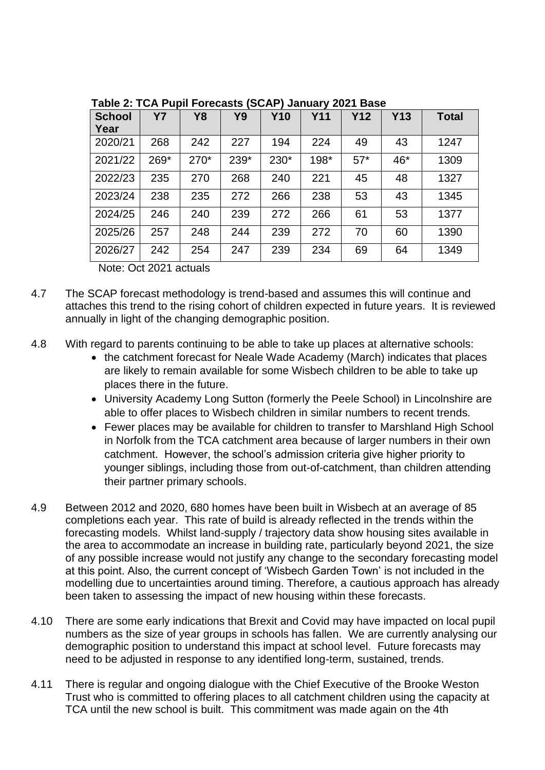| <b>School</b><br>Year | <b>Y7</b> | <b>Y8</b> | Y9   | <b>Y10</b> | <b>Y11</b> | <b>Y12</b> | <b>Y13</b> | <b>Total</b> |
|-----------------------|-----------|-----------|------|------------|------------|------------|------------|--------------|
| 2020/21               | 268       | 242       | 227  | 194        | 224        | 49         | 43         | 1247         |
| 2021/22               | 269*      | 270*      | 239* | 230*       | 198*       | $57*$      | 46*        | 1309         |
| 2022/23               | 235       | 270       | 268  | 240        | 221        | 45         | 48         | 1327         |
| 2023/24               | 238       | 235       | 272  | 266        | 238        | 53         | 43         | 1345         |
| 2024/25               | 246       | 240       | 239  | 272        | 266        | 61         | 53         | 1377         |
| 2025/26               | 257       | 248       | 244  | 239        | 272        | 70         | 60         | 1390         |
| 2026/27               | 242       | 254       | 247  | 239        | 234        | 69         | 64         | 1349         |

**Table 2: TCA Pupil Forecasts (SCAP) January 2021 Base**

Note: Oct 2021 actuals

- 4.7 The SCAP forecast methodology is trend-based and assumes this will continue and attaches this trend to the rising cohort of children expected in future years. It is reviewed annually in light of the changing demographic position.
- 4.8 With regard to parents continuing to be able to take up places at alternative schools:
	- the catchment forecast for Neale Wade Academy (March) indicates that places are likely to remain available for some Wisbech children to be able to take up places there in the future.
	- University Academy Long Sutton (formerly the Peele School) in Lincolnshire are able to offer places to Wisbech children in similar numbers to recent trends.
	- Fewer places may be available for children to transfer to Marshland High School in Norfolk from the TCA catchment area because of larger numbers in their own catchment. However, the school's admission criteria give higher priority to younger siblings, including those from out-of-catchment, than children attending their partner primary schools.
- 4.9 Between 2012 and 2020, 680 homes have been built in Wisbech at an average of 85 completions each year. This rate of build is already reflected in the trends within the forecasting models. Whilst land-supply / trajectory data show housing sites available in the area to accommodate an increase in building rate, particularly beyond 2021, the size of any possible increase would not justify any change to the secondary forecasting model at this point. Also, the current concept of 'Wisbech Garden Town' is not included in the modelling due to uncertainties around timing. Therefore, a cautious approach has already been taken to assessing the impact of new housing within these forecasts.
- 4.10 There are some early indications that Brexit and Covid may have impacted on local pupil numbers as the size of year groups in schools has fallen. We are currently analysing our demographic position to understand this impact at school level. Future forecasts may need to be adjusted in response to any identified long-term, sustained, trends.
- 4.11 There is regular and ongoing dialogue with the Chief Executive of the Brooke Weston Trust who is committed to offering places to all catchment children using the capacity at TCA until the new school is built. This commitment was made again on the 4th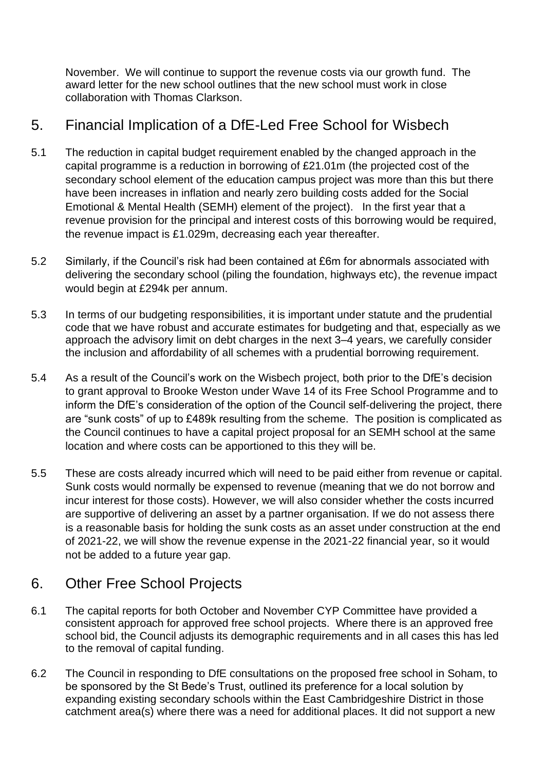November. We will continue to support the revenue costs via our growth fund. The award letter for the new school outlines that the new school must work in close collaboration with Thomas Clarkson.

# 5. Financial Implication of a DfE-Led Free School for Wisbech

- 5.1 The reduction in capital budget requirement enabled by the changed approach in the capital programme is a reduction in borrowing of £21.01m (the projected cost of the secondary school element of the education campus project was more than this but there have been increases in inflation and nearly zero building costs added for the Social Emotional & Mental Health (SEMH) element of the project). In the first year that a revenue provision for the principal and interest costs of this borrowing would be required, the revenue impact is £1.029m, decreasing each year thereafter.
- 5.2 Similarly, if the Council's risk had been contained at £6m for abnormals associated with delivering the secondary school (piling the foundation, highways etc), the revenue impact would begin at £294k per annum.
- 5.3 In terms of our budgeting responsibilities, it is important under statute and the prudential code that we have robust and accurate estimates for budgeting and that, especially as we approach the advisory limit on debt charges in the next 3–4 years, we carefully consider the inclusion and affordability of all schemes with a prudential borrowing requirement.
- 5.4 As a result of the Council's work on the Wisbech project, both prior to the DfE's decision to grant approval to Brooke Weston under Wave 14 of its Free School Programme and to inform the DfE's consideration of the option of the Council self-delivering the project, there are "sunk costs" of up to £489k resulting from the scheme. The position is complicated as the Council continues to have a capital project proposal for an SEMH school at the same location and where costs can be apportioned to this they will be.
- 5.5 These are costs already incurred which will need to be paid either from revenue or capital. Sunk costs would normally be expensed to revenue (meaning that we do not borrow and incur interest for those costs). However, we will also consider whether the costs incurred are supportive of delivering an asset by a partner organisation. If we do not assess there is a reasonable basis for holding the sunk costs as an asset under construction at the end of 2021-22, we will show the revenue expense in the 2021-22 financial year, so it would not be added to a future year gap.

# 6. Other Free School Projects

- 6.1 The capital reports for both October and November CYP Committee have provided a consistent approach for approved free school projects. Where there is an approved free school bid, the Council adjusts its demographic requirements and in all cases this has led to the removal of capital funding.
- 6.2 The Council in responding to DfE consultations on the proposed free school in Soham, to be sponsored by the St Bede's Trust, outlined its preference for a local solution by expanding existing secondary schools within the East Cambridgeshire District in those catchment area(s) where there was a need for additional places. It did not support a new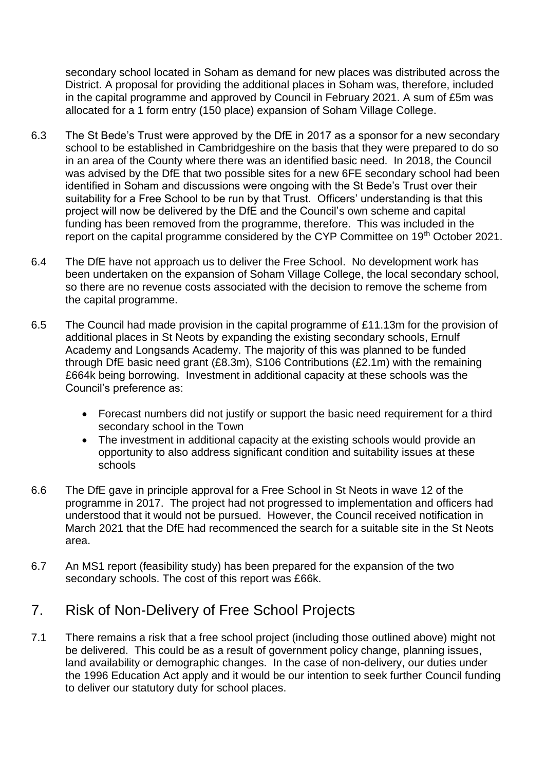secondary school located in Soham as demand for new places was distributed across the District. A proposal for providing the additional places in Soham was, therefore, included in the capital programme and approved by Council in February 2021. A sum of £5m was allocated for a 1 form entry (150 place) expansion of Soham Village College.

- 6.3 The St Bede's Trust were approved by the DfE in 2017 as a sponsor for a new secondary school to be established in Cambridgeshire on the basis that they were prepared to do so in an area of the County where there was an identified basic need. In 2018, the Council was advised by the DfE that two possible sites for a new 6FE secondary school had been identified in Soham and discussions were ongoing with the St Bede's Trust over their suitability for a Free School to be run by that Trust. Officers' understanding is that this project will now be delivered by the DfE and the Council's own scheme and capital funding has been removed from the programme, therefore. This was included in the report on the capital programme considered by the CYP Committee on 19<sup>th</sup> October 2021.
- 6.4 The DfE have not approach us to deliver the Free School. No development work has been undertaken on the expansion of Soham Village College, the local secondary school, so there are no revenue costs associated with the decision to remove the scheme from the capital programme.
- 6.5 The Council had made provision in the capital programme of £11.13m for the provision of additional places in St Neots by expanding the existing secondary schools, Ernulf Academy and Longsands Academy. The majority of this was planned to be funded through DfE basic need grant (£8.3m), S106 Contributions (£2.1m) with the remaining £664k being borrowing. Investment in additional capacity at these schools was the Council's preference as:
	- Forecast numbers did not justify or support the basic need requirement for a third secondary school in the Town
	- The investment in additional capacity at the existing schools would provide an opportunity to also address significant condition and suitability issues at these schools
- 6.6 The DfE gave in principle approval for a Free School in St Neots in wave 12 of the programme in 2017. The project had not progressed to implementation and officers had understood that it would not be pursued. However, the Council received notification in March 2021 that the DfE had recommenced the search for a suitable site in the St Neots area.
- 6.7 An MS1 report (feasibility study) has been prepared for the expansion of the two secondary schools. The cost of this report was £66k.

## 7. Risk of Non-Delivery of Free School Projects

7.1 There remains a risk that a free school project (including those outlined above) might not be delivered. This could be as a result of government policy change, planning issues, land availability or demographic changes. In the case of non-delivery, our duties under the 1996 Education Act apply and it would be our intention to seek further Council funding to deliver our statutory duty for school places.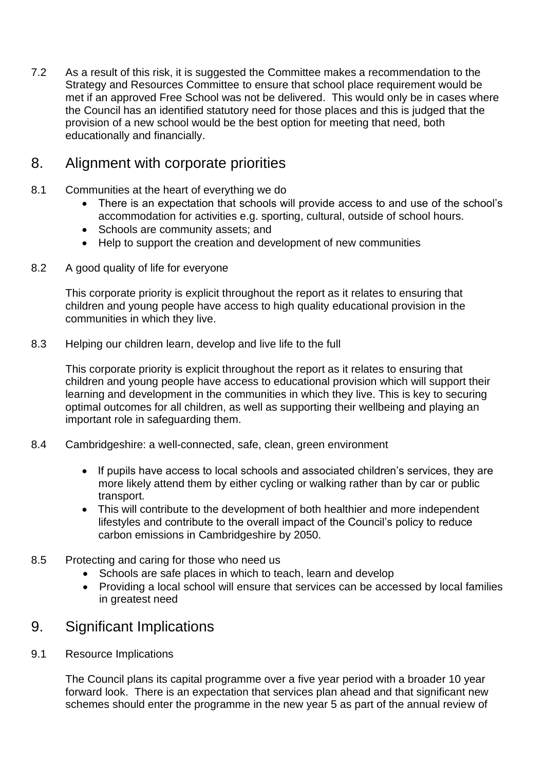7.2 As a result of this risk, it is suggested the Committee makes a recommendation to the Strategy and Resources Committee to ensure that school place requirement would be met if an approved Free School was not be delivered. This would only be in cases where the Council has an identified statutory need for those places and this is judged that the provision of a new school would be the best option for meeting that need, both educationally and financially.

## 8. Alignment with corporate priorities

- 8.1 Communities at the heart of everything we do
	- There is an expectation that schools will provide access to and use of the school's accommodation for activities e.g. sporting, cultural, outside of school hours.
	- Schools are community assets; and
	- Help to support the creation and development of new communities
- 8.2 A good quality of life for everyone

This corporate priority is explicit throughout the report as it relates to ensuring that children and young people have access to high quality educational provision in the communities in which they live.

8.3 Helping our children learn, develop and live life to the full

This corporate priority is explicit throughout the report as it relates to ensuring that children and young people have access to educational provision which will support their learning and development in the communities in which they live. This is key to securing optimal outcomes for all children, as well as supporting their wellbeing and playing an important role in safeguarding them.

- 8.4 Cambridgeshire: a well-connected, safe, clean, green environment
	- If pupils have access to local schools and associated children's services, they are more likely attend them by either cycling or walking rather than by car or public transport.
	- This will contribute to the development of both healthier and more independent lifestyles and contribute to the overall impact of the Council's policy to reduce carbon emissions in Cambridgeshire by 2050.
- 8.5 Protecting and caring for those who need us
	- Schools are safe places in which to teach, learn and develop
	- Providing a local school will ensure that services can be accessed by local families in greatest need

### 9. Significant Implications

9.1 Resource Implications

The Council plans its capital programme over a five year period with a broader 10 year forward look. There is an expectation that services plan ahead and that significant new schemes should enter the programme in the new year 5 as part of the annual review of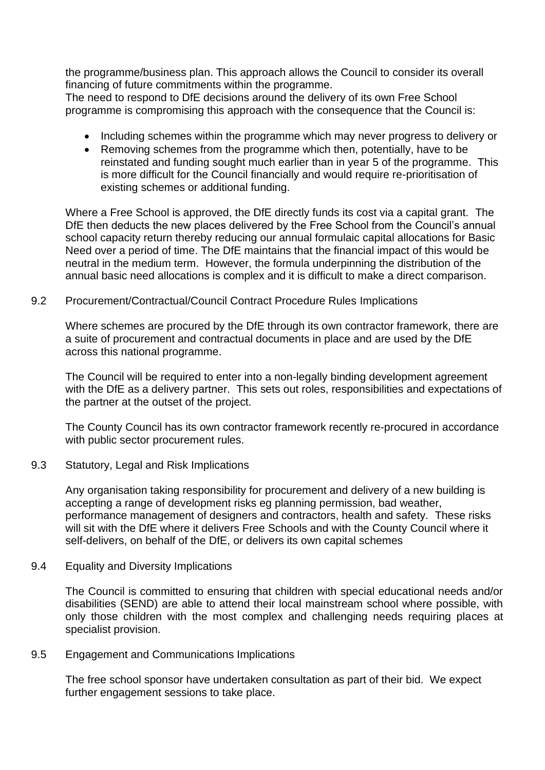the programme/business plan. This approach allows the Council to consider its overall financing of future commitments within the programme.

The need to respond to DfE decisions around the delivery of its own Free School programme is compromising this approach with the consequence that the Council is:

- Including schemes within the programme which may never progress to delivery or
- Removing schemes from the programme which then, potentially, have to be reinstated and funding sought much earlier than in year 5 of the programme. This is more difficult for the Council financially and would require re-prioritisation of existing schemes or additional funding.

Where a Free School is approved, the DfE directly funds its cost via a capital grant. The DfE then deducts the new places delivered by the Free School from the Council's annual school capacity return thereby reducing our annual formulaic capital allocations for Basic Need over a period of time. The DfE maintains that the financial impact of this would be neutral in the medium term. However, the formula underpinning the distribution of the annual basic need allocations is complex and it is difficult to make a direct comparison.

9.2 Procurement/Contractual/Council Contract Procedure Rules Implications

Where schemes are procured by the DfE through its own contractor framework, there are a suite of procurement and contractual documents in place and are used by the DfE across this national programme.

The Council will be required to enter into a non-legally binding development agreement with the DfE as a delivery partner. This sets out roles, responsibilities and expectations of the partner at the outset of the project.

The County Council has its own contractor framework recently re-procured in accordance with public sector procurement rules.

9.3 Statutory, Legal and Risk Implications

Any organisation taking responsibility for procurement and delivery of a new building is accepting a range of development risks eg planning permission, bad weather, performance management of designers and contractors, health and safety. These risks will sit with the DfE where it delivers Free Schools and with the County Council where it self-delivers, on behalf of the DfE, or delivers its own capital schemes

9.4 Equality and Diversity Implications

The Council is committed to ensuring that children with special educational needs and/or disabilities (SEND) are able to attend their local mainstream school where possible, with only those children with the most complex and challenging needs requiring places at specialist provision.

9.5 Engagement and Communications Implications

The free school sponsor have undertaken consultation as part of their bid. We expect further engagement sessions to take place.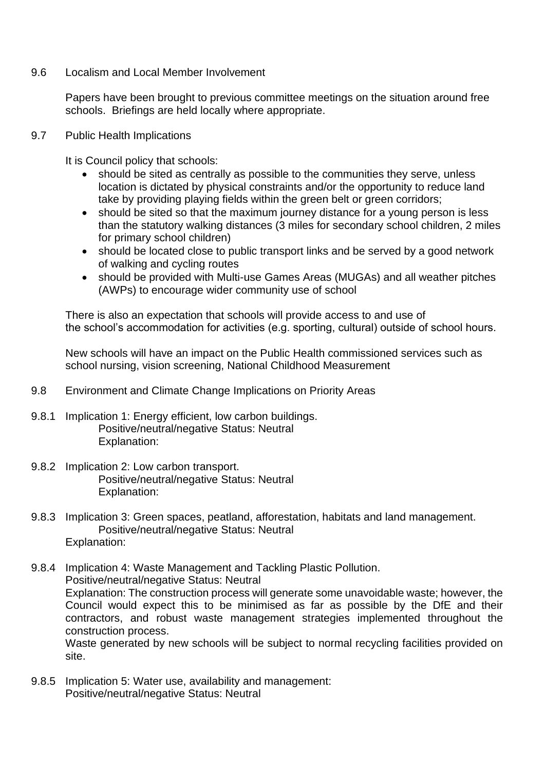### 9.6 Localism and Local Member Involvement

Papers have been brought to previous committee meetings on the situation around free schools. Briefings are held locally where appropriate.

### 9.7 Public Health Implications

It is Council policy that schools:

- should be sited as centrally as possible to the communities they serve, unless location is dictated by physical constraints and/or the opportunity to reduce land take by providing playing fields within the green belt or green corridors;
- should be sited so that the maximum journey distance for a young person is less than the statutory walking distances (3 miles for secondary school children, 2 miles for primary school children)
- should be located close to public transport links and be served by a good network of walking and cycling routes
- should be provided with Multi-use Games Areas (MUGAs) and all weather pitches (AWPs) to encourage wider community use of school

There is also an expectation that schools will provide access to and use of the school's accommodation for activities (e.g. sporting, cultural) outside of school hours.

New schools will have an impact on the Public Health commissioned services such as school nursing, vision screening, National Childhood Measurement

- 9.8 Environment and Climate Change Implications on Priority Areas
- 9.8.1 Implication 1: Energy efficient, low carbon buildings. Positive/neutral/negative Status: Neutral Explanation:
- 9.8.2 Implication 2: Low carbon transport. Positive/neutral/negative Status: Neutral Explanation:
- 9.8.3 Implication 3: Green spaces, peatland, afforestation, habitats and land management. Positive/neutral/negative Status: Neutral Explanation:
- 9.8.4 Implication 4: Waste Management and Tackling Plastic Pollution. Positive/neutral/negative Status: Neutral Explanation: The construction process will generate some unavoidable waste; however, the Council would expect this to be minimised as far as possible by the DfE and their contractors, and robust waste management strategies implemented throughout the construction process. Waste generated by new schools will be subject to normal recycling facilities provided on site.
- 9.8.5 Implication 5: Water use, availability and management: Positive/neutral/negative Status: Neutral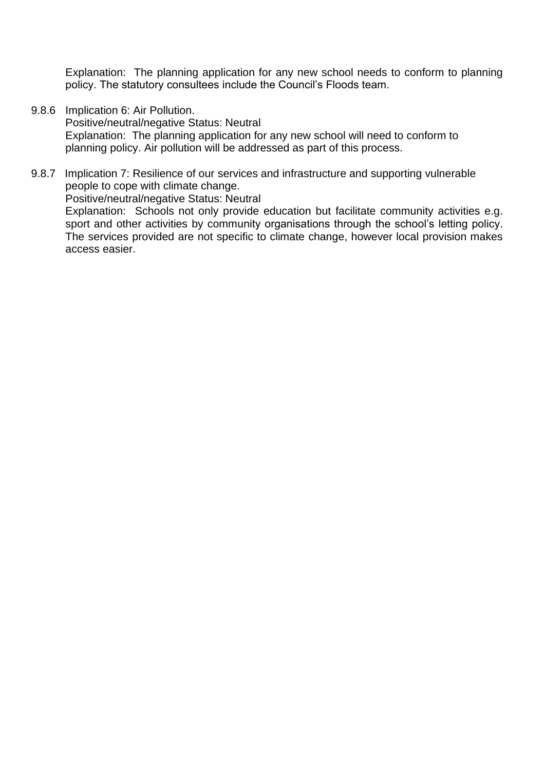Explanation: The planning application for any new school needs to conform to planning policy. The statutory consultees include the Council's Floods team.

- 9.8.6 Implication 6: Air Pollution. Positive/neutral/negative Status: Neutral Explanation: The planning application for any new school will need to conform to planning policy. Air pollution will be addressed as part of this process.
- 9.8.7 Implication 7: Resilience of our services and infrastructure and supporting vulnerable people to cope with climate change. Positive/neutral/negative Status: Neutral Explanation: Schools not only provide education but facilitate community activities e.g. sport and other activities by community organisations through the school's letting policy. The services provided are not specific to climate change, however local provision makes access easier.